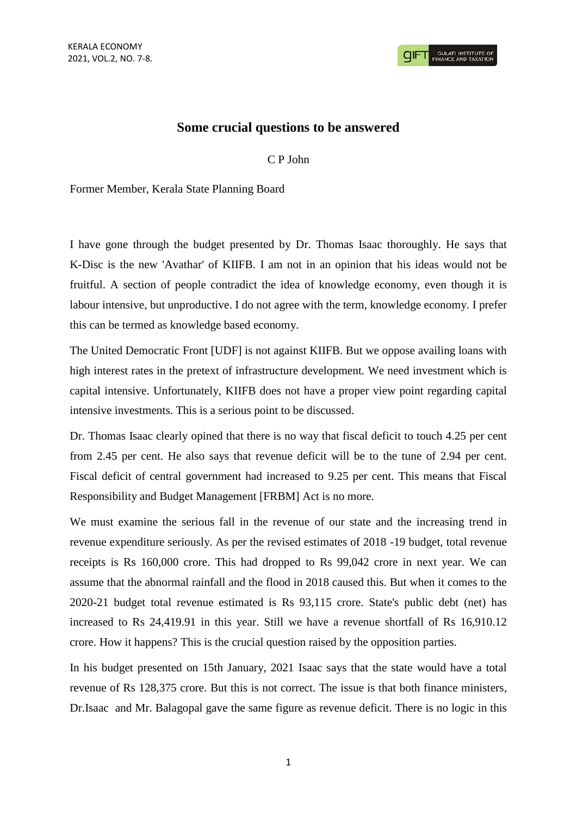## **Some crucial questions to be answered**

C P John

Former Member, Kerala State Planning Board

I have gone through the budget presented by Dr. Thomas Isaac thoroughly. He says that K-Disc is the new 'Avathar' of KIIFB. I am not in an opinion that his ideas would not be fruitful. A section of people contradict the idea of knowledge economy, even though it is labour intensive, but unproductive. I do not agree with the term, knowledge economy. I prefer this can be termed as knowledge based economy.

The United Democratic Front [UDF] is not against KIIFB. But we oppose availing loans with high interest rates in the pretext of infrastructure development. We need investment which is capital intensive. Unfortunately, KIIFB does not have a proper view point regarding capital intensive investments. This is a serious point to be discussed.

Dr. Thomas Isaac clearly opined that there is no way that fiscal deficit to touch 4.25 per cent from 2.45 per cent. He also says that revenue deficit will be to the tune of 2.94 per cent. Fiscal deficit of central government had increased to 9.25 per cent. This means that Fiscal Responsibility and Budget Management [FRBM] Act is no more.

We must examine the serious fall in the revenue of our state and the increasing trend in revenue expenditure seriously. As per the revised estimates of 2018 -19 budget, total revenue receipts is Rs 160,000 crore. This had dropped to Rs 99,042 crore in next year. We can assume that the abnormal rainfall and the flood in 2018 caused this. But when it comes to the 2020-21 budget total revenue estimated is Rs 93,115 crore. State's public debt (net) has increased to Rs 24,419.91 in this year. Still we have a revenue shortfall of Rs 16,910.12 crore. How it happens? This is the crucial question raised by the opposition parties.

In his budget presented on 15th January, 2021 Isaac says that the state would have a total revenue of Rs 128,375 crore. But this is not correct. The issue is that both finance ministers, Dr.Isaac and Mr. Balagopal gave the same figure as revenue deficit. There is no logic in this